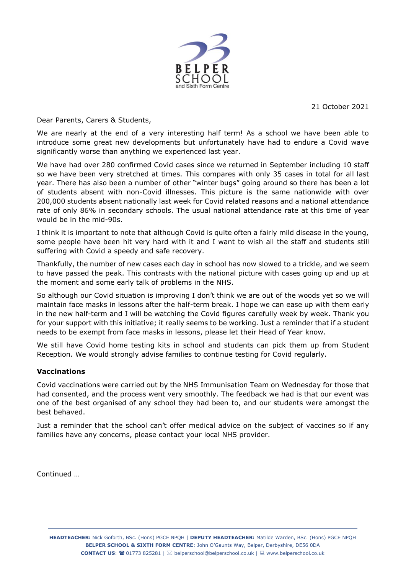

21 October 2021

Dear Parents, Carers & Students,

We are nearly at the end of a very interesting half term! As a school we have been able to introduce some great new developments but unfortunately have had to endure a Covid wave significantly worse than anything we experienced last year.

We have had over 280 confirmed Covid cases since we returned in September including 10 staff so we have been very stretched at times. This compares with only 35 cases in total for all last year. There has also been a number of other "winter bugs" going around so there has been a lot of students absent with non-Covid illnesses. This picture is the same nationwide with over 200,000 students absent nationally last week for Covid related reasons and a national attendance rate of only 86% in secondary schools. The usual national attendance rate at this time of year would be in the mid-90s.

I think it is important to note that although Covid is quite often a fairly mild disease in the young, some people have been hit very hard with it and I want to wish all the staff and students still suffering with Covid a speedy and safe recovery.

Thankfully, the number of new cases each day in school has now slowed to a trickle, and we seem to have passed the peak. This contrasts with the national picture with cases going up and up at the moment and some early talk of problems in the NHS.

So although our Covid situation is improving I don't think we are out of the woods yet so we will maintain face masks in lessons after the half-term break. I hope we can ease up with them early in the new half-term and I will be watching the Covid figures carefully week by week. Thank you for your support with this initiative; it really seems to be working. Just a reminder that if a student needs to be exempt from face masks in lessons, please let their Head of Year know.

We still have Covid home testing kits in school and students can pick them up from Student Reception. We would strongly advise families to continue testing for Covid regularly.

# **Vaccinations**

Covid vaccinations were carried out by the NHS Immunisation Team on Wednesday for those that had consented, and the process went very smoothly. The feedback we had is that our event was one of the best organised of any school they had been to, and our students were amongst the best behaved.

Just a reminder that the school can't offer medical advice on the subject of vaccines so if any families have any concerns, please contact your local NHS provider.

Continued …